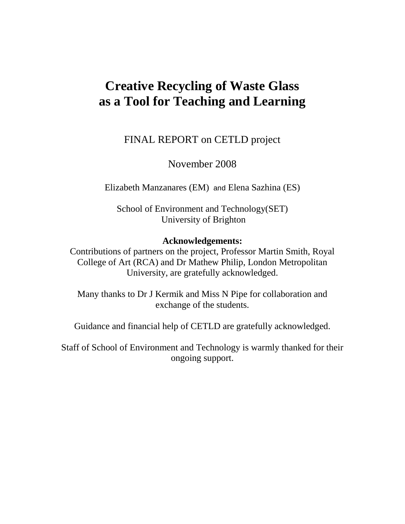# **Creative Recycling of Waste Glass as a Tool for Teaching and Learning**

FINAL REPORT on CETLD project

November 2008

Elizabeth Manzanares (EM) and Elena Sazhina (ES)

School of Environment and Technology(SET) University of Brighton

# **Acknowledgements:**

Contributions of partners on the project, Professor Martin Smith, Royal College of Art (RCA) and Dr Mathew Philip, London Metropolitan University, are gratefully acknowledged.

Many thanks to Dr J Kermik and Miss N Pipe for collaboration and exchange of the students.

Guidance and financial help of CETLD are gratefully acknowledged.

Staff of School of Environment and Technology is warmly thanked for their ongoing support.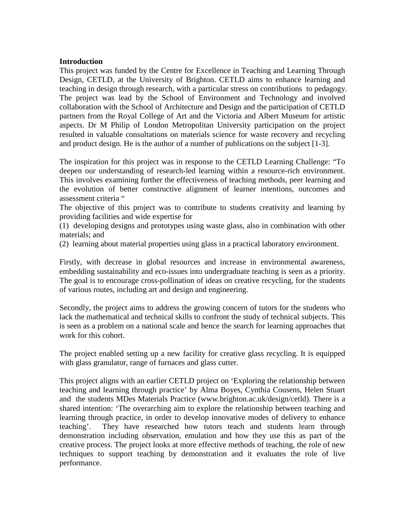# **Introduction**

This project was funded by the Centre for Excellence in Teaching and Learning Through Design, CETLD, at the University of Brighton. CETLD aims to enhance learning and teaching in design through research, with a particular stress on contributions to pedagogy. The project was lead by the School of Environment and Technology and involved collaboration with the School of Architecture and Design and the participation of CETLD partners from the Royal College of Art and the Victoria and Albert Museum for artistic aspects. Dr M Philip of London Metropolitan University participation on the project resulted in valuable consultations on materials science for waste recovery and recycling and product design. He is the author of a number of publications on the subject [1-3].

The inspiration for this project was in response to the CETLD Learning Challenge: "To deepen our understanding of research-led learning within a resource-rich environment. This involves examining further the effectiveness of teaching methods, peer learning and the evolution of better constructive alignment of learner intentions, outcomes and assessment criteria "

The objective of this project was to contribute to students creativity and learning by providing facilities and wide expertise for

(1) developing designs and prototypes using waste glass, also in combination with other materials; and

(2) learning about material properties using glass in a practical laboratory environment.

Firstly, with decrease in global resources and increase in environmental awareness, embedding sustainability and eco-issues into undergraduate teaching is seen as a priority. The goal is to encourage cross-pollination of ideas on creative recycling, for the students of various routes, including art and design and engineering.

Secondly, the project aims to address the growing concern of tutors for the students who lack the mathematical and technical skills to confront the study of technical subjects. This is seen as a problem on a national scale and hence the search for learning approaches that work for this cohort.

The project enabled setting up a new facility for creative glass recycling. It is equipped with glass granulator, range of furnaces and glass cutter.

This project aligns with an earlier CETLD project on 'Exploring the relationship between teaching and learning through practice' by Alma Boyes, Cynthia Cousens, Helen Stuart and the students MDes Materials Practice (www.brighton.ac.uk/design/cetld). There is a shared intention: 'The overarching aim to explore the relationship between teaching and learning through practice, in order to develop innovative modes of delivery to enhance teaching'. They have researched how tutors teach and students learn through demonstration including observation, emulation and how they use this as part of the creative process. The project looks at more effective methods of teaching, the role of new techniques to support teaching by demonstration and it evaluates the role of live performance.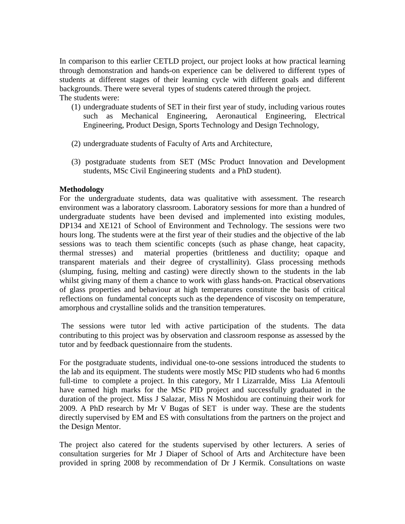In comparison to this earlier CETLD project, our project looks at how practical learning through demonstration and hands-on experience can be delivered to different types of students at different stages of their learning cycle with different goals and different backgrounds. There were several types of students catered through the project. The students were:

- (1) undergraduate students of SET in their first year of study, including various routes such as Mechanical Engineering, Aeronautical Engineering, Electrical Engineering, Product Design, Sports Technology and Design Technology,
- (2) undergraduate students of Faculty of Arts and Architecture,
- (3) postgraduate students from SET (MSc Product Innovation and Development students, MSc Civil Engineering students and a PhD student).

# **Methodology**

For the undergraduate students, data was qualitative with assessment. The research environment was a laboratory classroom. Laboratory sessions for more than a hundred of undergraduate students have been devised and implemented into existing modules, DP134 and XE121 of School of Environment and Technology. The sessions were two hours long. The students were at the first year of their studies and the objective of the lab sessions was to teach them scientific concepts (such as phase change, heat capacity, thermal stresses) and material properties (brittleness and ductility; opaque and transparent materials and their degree of crystallinity). Glass processing methods (slumping, fusing, melting and casting) were directly shown to the students in the lab whilst giving many of them a chance to work with glass hands-on. Practical observations of glass properties and behaviour at high temperatures constitute the basis of critical reflections on fundamental concepts such as the dependence of viscosity on temperature, amorphous and crystalline solids and the transition temperatures.

The sessions were tutor led with active participation of the students. The data contributing to this project was by observation and classroom response as assessed by the tutor and by feedback questionnaire from the students.

For the postgraduate students, individual one-to-one sessions introduced the students to the lab and its equipment. The students were mostly MSc PID students who had 6 months full-time to complete a project. In this category, Mr I Lizarralde, Miss Lia Afentouli have earned high marks for the MSc PID project and successfully graduated in the duration of the project. Miss J Salazar, Miss N Moshidou are continuing their work for 2009. A PhD research by Mr V Bugas of SET is under way. These are the students directly supervised by EM and ES with consultations from the partners on the project and the Design Mentor.

The project also catered for the students supervised by other lecturers. A series of consultation surgeries for Mr J Diaper of School of Arts and Architecture have been provided in spring 2008 by recommendation of Dr J Kermik. Consultations on waste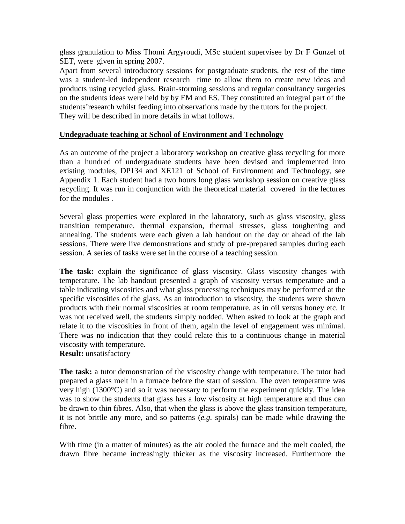glass granulation to Miss Thomi Argyroudi, MSc student supervisee by Dr F Gunzel of SET, were given in spring 2007.

Apart from several introductory sessions for postgraduate students, the rest of the time was a student-led independent research time to allow them to create new ideas and products using recycled glass. Brain-storming sessions and regular consultancy surgeries on the students ideas were held by by EM and ES. They constituted an integral part of the students'research whilst feeding into observations made by the tutors for the project. They will be described in more details in what follows.

# **Undegraduate teaching at School of Environment and Technology**

As an outcome of the project a laboratory workshop on creative glass recycling for more than a hundred of undergraduate students have been devised and implemented into existing modules, DP134 and XE121 of School of Environment and Technology, see Appendix 1. Each student had a two hours long glass workshop session on creative glass recycling. It was run in conjunction with the theoretical material covered in the lectures for the modules .

Several glass properties were explored in the laboratory, such as glass viscosity, glass transition temperature, thermal expansion, thermal stresses, glass toughening and annealing. The students were each given a lab handout on the day or ahead of the lab sessions. There were live demonstrations and study of pre-prepared samples during each session. A series of tasks were set in the course of a teaching session.

**The task:** explain the significance of glass viscosity. Glass viscosity changes with temperature. The lab handout presented a graph of viscosity versus temperature and a table indicating viscosities and what glass processing techniques may be performed at the specific viscosities of the glass. As an introduction to viscosity, the students were shown products with their normal viscosities at room temperature, as in oil versus honey etc. It was not received well, the students simply nodded. When asked to look at the graph and relate it to the viscosities in front of them, again the level of engagement was minimal. There was no indication that they could relate this to a continuous change in material viscosity with temperature.

**Result:** unsatisfactory

**The task:** a tutor demonstration of the viscosity change with temperature. The tutor had prepared a glass melt in a furnace before the start of session. The oven temperature was very high (1300°C) and so it was necessary to perform the experiment quickly. The idea was to show the students that glass has a low viscosity at high temperature and thus can be drawn to thin fibres. Also, that when the glass is above the glass transition temperature, it is not brittle any more, and so patterns (*e.g.* spirals) can be made while drawing the fibre.

With time (in a matter of minutes) as the air cooled the furnace and the melt cooled, the drawn fibre became increasingly thicker as the viscosity increased. Furthermore the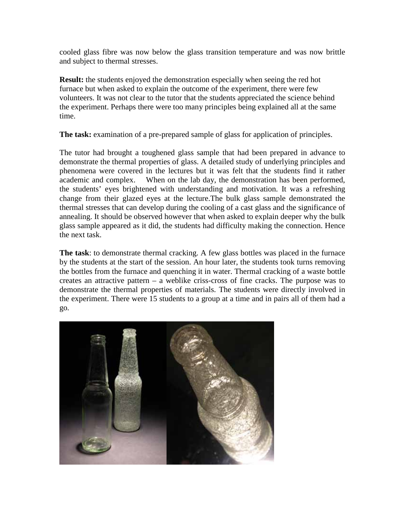cooled glass fibre was now below the glass transition temperature and was now brittle and subject to thermal stresses.

**Result:** the students enjoyed the demonstration especially when seeing the red hot furnace but when asked to explain the outcome of the experiment, there were few volunteers. It was not clear to the tutor that the students appreciated the science behind the experiment. Perhaps there were too many principles being explained all at the same time.

**The task:** examination of a pre-prepared sample of glass for application of principles.

The tutor had brought a toughened glass sample that had been prepared in advance to demonstrate the thermal properties of glass. A detailed study of underlying principles and phenomena were covered in the lectures but it was felt that the students find it rather academic and complex. When on the lab day, the demonstration has been performed, the students' eyes brightened with understanding and motivation. It was a refreshing change from their glazed eyes at the lecture.The bulk glass sample demonstrated the thermal stresses that can develop during the cooling of a cast glass and the significance of annealing. It should be observed however that when asked to explain deeper why the bulk glass sample appeared as it did, the students had difficulty making the connection. Hence the next task.

**The task**: to demonstrate thermal cracking. A few glass bottles was placed in the furnace by the students at the start of the session. An hour later, the students took turns removing the bottles from the furnace and quenching it in water. Thermal cracking of a waste bottle creates an attractive pattern – a weblike criss-cross of fine cracks. The purpose was to demonstrate the thermal properties of materials. The students were directly involved in the experiment. There were 15 students to a group at a time and in pairs all of them had a go.

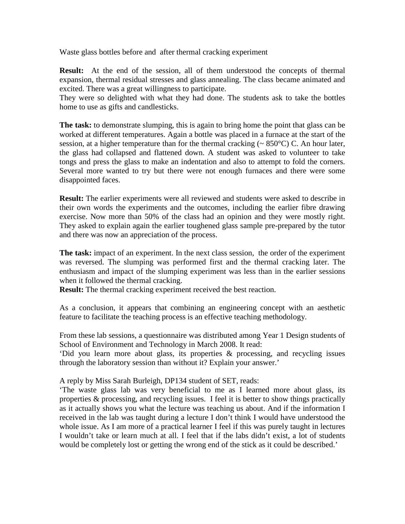Waste glass bottles before and after thermal cracking experiment

**Result:** At the end of the session, all of them understood the concepts of thermal expansion, thermal residual stresses and glass annealing. The class became animated and excited. There was a great willingness to participate.

They were so delighted with what they had done. The students ask to take the bottles home to use as gifts and candlesticks.

**The task:** to demonstrate slumping, this is again to bring home the point that glass can be worked at different temperatures. Again a bottle was placed in a furnace at the start of the session, at a higher temperature than for the thermal cracking  $($   $\sim$  850 $^{\circ}$ C) C. An hour later, the glass had collapsed and flattened down. A student was asked to volunteer to take tongs and press the glass to make an indentation and also to attempt to fold the corners. Several more wanted to try but there were not enough furnaces and there were some disappointed faces.

**Result:** The earlier experiments were all reviewed and students were asked to describe in their own words the experiments and the outcomes, including the earlier fibre drawing exercise. Now more than 50% of the class had an opinion and they were mostly right. They asked to explain again the earlier toughened glass sample pre-prepared by the tutor and there was now an appreciation of the process.

**The task:** impact of an experiment. In the next class session, the order of the experiment was reversed. The slumping was performed first and the thermal cracking later. The enthusiasm and impact of the slumping experiment was less than in the earlier sessions when it followed the thermal cracking.

**Result:** The thermal cracking experiment received the best reaction.

As a conclusion, it appears that combining an engineering concept with an aesthetic feature to facilitate the teaching process is an effective teaching methodology.

From these lab sessions, a questionnaire was distributed among Year 1 Design students of School of Environment and Technology in March 2008. It read:

'Did you learn more about glass, its properties & processing, and recycling issues through the laboratory session than without it? Explain your answer.'

A reply by Miss Sarah Burleigh, DP134 student of SET, reads:

'The waste glass lab was very beneficial to me as I learned more about glass, its properties & processing, and recycling issues. I feel it is better to show things practically as it actually shows you what the lecture was teaching us about. And if the information I received in the lab was taught during a lecture I don't think I would have understood the whole issue. As I am more of a practical learner I feel if this was purely taught in lectures I wouldn't take or learn much at all. I feel that if the labs didn't exist, a lot of students would be completely lost or getting the wrong end of the stick as it could be described.'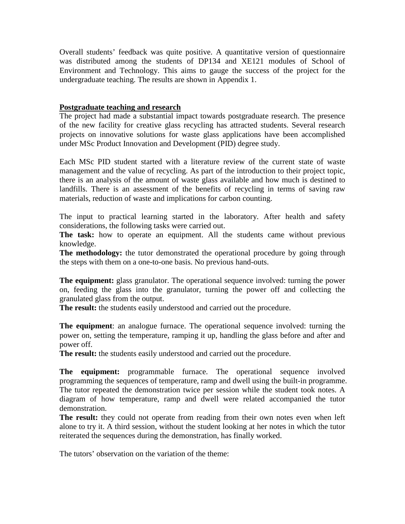Overall students' feedback was quite positive. A quantitative version of questionnaire was distributed among the students of DP134 and XE121 modules of School of Environment and Technology. This aims to gauge the success of the project for the undergraduate teaching. The results are shown in Appendix 1.

# **Postgraduate teaching and research**

The project had made a substantial impact towards postgraduate research. The presence of the new facility for creative glass recycling has attracted students. Several research projects on innovative solutions for waste glass applications have been accomplished under MSc Product Innovation and Development (PID) degree study.

Each MSc PID student started with a literature review of the current state of waste management and the value of recycling. As part of the introduction to their project topic, there is an analysis of the amount of waste glass available and how much is destined to landfills. There is an assessment of the benefits of recycling in terms of saving raw materials, reduction of waste and implications for carbon counting.

The input to practical learning started in the laboratory. After health and safety considerations, the following tasks were carried out.

The task: how to operate an equipment. All the students came without previous knowledge.

**The methodology:** the tutor demonstrated the operational procedure by going through the steps with them on a one-to-one basis. No previous hand-outs.

**The equipment:** glass granulator. The operational sequence involved: turning the power on, feeding the glass into the granulator, turning the power off and collecting the granulated glass from the output.

**The result:** the students easily understood and carried out the procedure.

**The equipment**: an analogue furnace. The operational sequence involved: turning the power on, setting the temperature, ramping it up, handling the glass before and after and power off.

**The result:** the students easily understood and carried out the procedure.

**The equipment:** programmable furnace. The operational sequence involved programming the sequences of temperature, ramp and dwell using the built-in programme. The tutor repeated the demonstration twice per session while the student took notes. A diagram of how temperature, ramp and dwell were related accompanied the tutor demonstration.

**The result:** they could not operate from reading from their own notes even when left alone to try it. A third session, without the student looking at her notes in which the tutor reiterated the sequences during the demonstration, has finally worked.

The tutors' observation on the variation of the theme: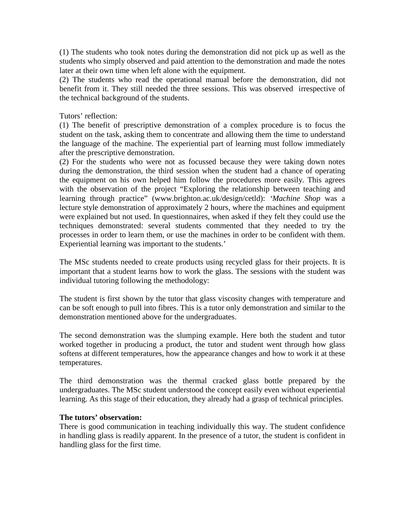(1) The students who took notes during the demonstration did not pick up as well as the students who simply observed and paid attention to the demonstration and made the notes later at their own time when left alone with the equipment.

(2) The students who read the operational manual before the demonstration, did not benefit from it. They still needed the three sessions. This was observed irrespective of the technical background of the students.

# Tutors' reflection:

(1) The benefit of prescriptive demonstration of a complex procedure is to focus the student on the task, asking them to concentrate and allowing them the time to understand the language of the machine. The experiential part of learning must follow immediately after the prescriptive demonstration.

(2) For the students who were not as focussed because they were taking down notes during the demonstration, the third session when the student had a chance of operating the equipment on his own helped him follow the procedures more easily. This agrees with the observation of the project "Exploring the relationship between teaching and learning through practice" (www.brighton.ac.uk/design/cetld): *'Machine Shop* was a lecture style demonstration of approximately 2 hours, where the machines and equipment were explained but not used. In questionnaires, when asked if they felt they could use the techniques demonstrated: several students commented that they needed to try the processes in order to learn them, or use the machines in order to be confident with them. Experiential learning was important to the students.'

The MSc students needed to create products using recycled glass for their projects. It is important that a student learns how to work the glass. The sessions with the student was individual tutoring following the methodology:

The student is first shown by the tutor that glass viscosity changes with temperature and can be soft enough to pull into fibres. This is a tutor only demonstration and similar to the demonstration mentioned above for the undergraduates.

The second demonstration was the slumping example. Here both the student and tutor worked together in producing a product, the tutor and student went through how glass softens at different temperatures, how the appearance changes and how to work it at these temperatures.

The third demonstration was the thermal cracked glass bottle prepared by the undergraduates. The MSc student understood the concept easily even without experiential learning. As this stage of their education, they already had a grasp of technical principles.

# **The tutors' observation:**

There is good communication in teaching individually this way. The student confidence in handling glass is readily apparent. In the presence of a tutor, the student is confident in handling glass for the first time.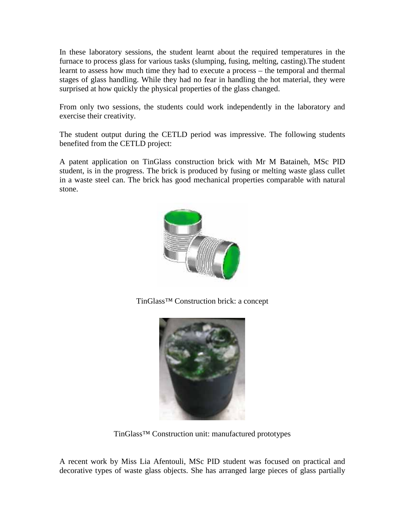In these laboratory sessions, the student learnt about the required temperatures in the furnace to process glass for various tasks (slumping, fusing, melting, casting).The student learnt to assess how much time they had to execute a process – the temporal and thermal stages of glass handling. While they had no fear in handling the hot material, they were surprised at how quickly the physical properties of the glass changed.

From only two sessions, the students could work independently in the laboratory and exercise their creativity.

The student output during the CETLD period was impressive. The following students benefited from the CETLD project:

A patent application on TinGlass construction brick with Mr M Bataineh, MSc PID student, is in the progress. The brick is produced by fusing or melting waste glass cullet in a waste steel can. The brick has good mechanical properties comparable with natural stone.



TinGlass™ Construction brick: a concept



TinGlass™ Construction unit: manufactured prototypes

A recent work by Miss Lia Afentouli, MSc PID student was focused on practical and decorative types of waste glass objects. She has arranged large pieces of glass partially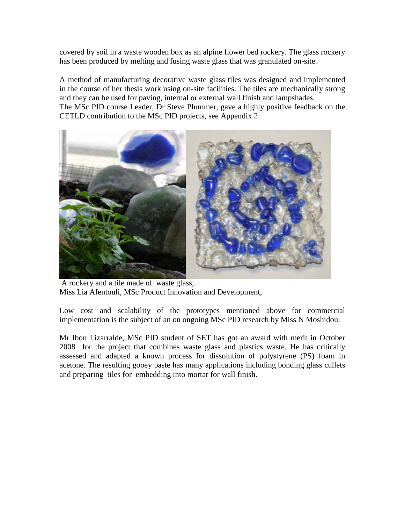covered by soil in a waste wooden box as an alpine flower bed rockery. The glass rockery has been produced by melting and fusing waste glass that was granulated on-site.

A method of manufacturing decorative waste glass tiles was designed and implemented in the course of her thesis work using on-site facilities. The tiles are mechanically strong and they can be used for paving, internal or external wall finish and lampshades. The MSc PID course Leader, Dr Steve Plummer, gave a highly positive feedback on the CETLD contribution to the MSc PID projects, see Appendix 2



A rockery and a tile made of waste glass, Miss Lia Afentouli, MSc Product Innovation and Development,

Low cost and scalability of the prototypes mentioned above for commercial implementation is the subject of an on ongoing MSc PID research by Miss N Moshidou.

Mr Ibon Lizarralde, MSc PID student of SET has got an award with merit in October 2008 for the project that combines waste glass and plastics waste. He has critically assessed and adapted a known process for dissolution of polystyrene (PS) foam in acetone. The resulting gooey paste has many applications including bonding glass cullets and preparing tiles for embedding into mortar for wall finish.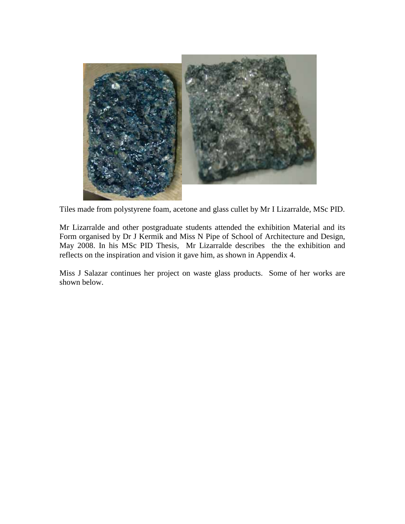

Tiles made from polystyrene foam, acetone and glass cullet by Mr I Lizarralde, MSc PID.

Mr Lizarralde and other postgraduate students attended the exhibition Material and its Form organised by Dr J Kermik and Miss N Pipe of School of Architecture and Design, May 2008. In his MSc PID Thesis, Mr Lizarralde describes the the exhibition and reflects on the inspiration and vision it gave him, as shown in Appendix 4.

Miss J Salazar continues her project on waste glass products. Some of her works are shown below.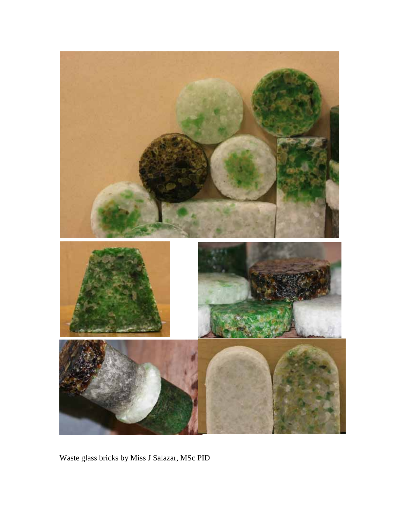

Waste glass bricks by Miss J Salazar, MSc PID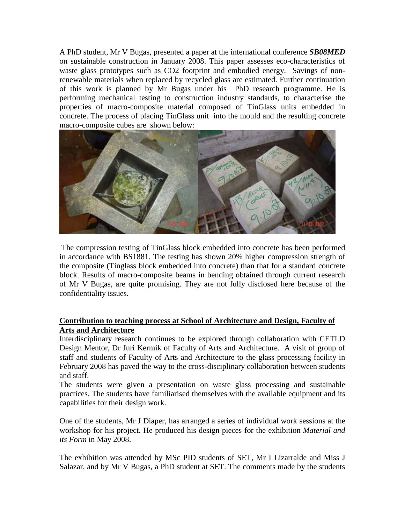A PhD student, Mr V Bugas, presented a paper at the international conference *SB08MED* on sustainable construction in January 2008. This paper assesses eco-characteristics of waste glass prototypes such as CO2 footprint and embodied energy. Savings of nonrenewable materials when replaced by recycled glass are estimated. Further continuation of this work is planned by Mr Bugas under his PhD research programme. He is performing mechanical testing to construction industry standards, to characterise the properties of macro-composite material composed of TinGlass units embedded in concrete. The process of placing TinGlass unit into the mould and the resulting concrete macro-composite cubes are shown below:



The compression testing of TinGlass block embedded into concrete has been performed in accordance with BS1881. The testing has shown 20% higher compression strength of the composite (Tinglass block embedded into concrete) than that for a standard concrete block. Results of macro-composite beams in bending obtained through current research of Mr V Bugas, are quite promising. They are not fully disclosed here because of the confidentiality issues.

# **Contribution to teaching process at School of Architecture and Design, Faculty of Arts and Architecture**

Interdisciplinary research continues to be explored through collaboration with CETLD Design Mentor, Dr Juri Kermik of Faculty of Arts and Architecture. A visit of group of staff and students of Faculty of Arts and Architecture to the glass processing facility in February 2008 has paved the way to the cross-disciplinary collaboration between students and staff.

The students were given a presentation on waste glass processing and sustainable practices. The students have familiarised themselves with the available equipment and its capabilities for their design work.

One of the students, Mr J Diaper, has arranged a series of individual work sessions at the workshop for his project. He produced his design pieces for the exhibition *Material and its Form* in May 2008.

The exhibition was attended by MSc PID students of SET, Mr I Lizarralde and Miss J Salazar, and by Mr V Bugas, a PhD student at SET. The comments made by the students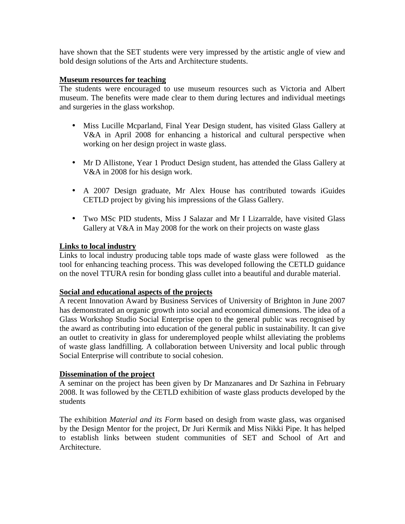have shown that the SET students were very impressed by the artistic angle of view and bold design solutions of the Arts and Architecture students.

# **Museum resources for teaching**

The students were encouraged to use museum resources such as Victoria and Albert museum. The benefits were made clear to them during lectures and individual meetings and surgeries in the glass workshop.

- $\mathbf{r}$ Miss Lucille Mcparland, Final Year Design student, has visited Glass Gallery at V&A in April 2008 for enhancing a historical and cultural perspective when working on her design project in waste glass.
- Mr D Allistone, Year 1 Product Design student, has attended the Glass Gallery at V&A in 2008 for his design work.
- A 2007 Design graduate, Mr Alex House has contributed towards iGuides CETLD project by giving his impressions of the Glass Gallery.
- Two MSc PID students, Miss J Salazar and Mr I Lizarralde, have visited Glass Gallery at V&A in May 2008 for the work on their projects on waste glass

# **Links to local industry**

Links to local industry producing table tops made of waste glass were followed as the tool for enhancing teaching process. This was developed following the CETLD guidance on the novel TTURA resin for bonding glass cullet into a beautiful and durable material.

### **Social and educational aspects of the projects**

A recent Innovation Award by Business Services of University of Brighton in June 2007 has demonstrated an organic growth into social and economical dimensions. The idea of a Glass Workshop Studio Social Enterprise open to the general public was recognised by the award as contributing into education of the general public in sustainability. It can give an outlet to creativity in glass for underemployed people whilst alleviating the problems of waste glass landfilling. A collaboration between University and local public through Social Enterprise will contribute to social cohesion.

# **Dissemination of the project**

A seminar on the project has been given by Dr Manzanares and Dr Sazhina in February 2008. It was followed by the CETLD exhibition of waste glass products developed by the students

The exhibition *Material and its Form* based on desigh from waste glass, was organised by the Design Mentor for the project, Dr Juri Kermik and Miss Nikki Pipe. It has helped to establish links between student communities of SET and School of Art and Architecture.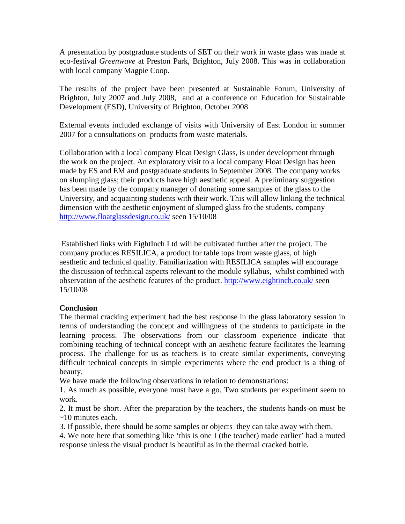A presentation by postgraduate students of SET on their work in waste glass was made at eco-festival *Greenwave* at Preston Park, Brighton, July 2008. This was in collaboration with local company Magpie Coop.

The results of the project have been presented at Sustainable Forum, University of Brighton, July 2007 and July 2008, and at a conference on Education for Sustainable Development (ESD), University of Brighton, October 2008

External events included exchange of visits with University of East London in summer 2007 for a consultations on products from waste materials.

Collaboration with a local company Float Design Glass, is under development through the work on the project. An exploratory visit to a local company Float Design has been made by ES and EM and postgraduate students in September 2008. The company works on slumping glass; their products have high aesthetic appeal. A preliminary suggestion has been made by the company manager of donating some samples of the glass to the University, and acquainting students with their work. This will allow linking the technical dimension with the aesthetic enjoyment of slumped glass fro the students. company http://www.floatglassdesign.co.uk/ seen 15/10/08

Established links with EightInch Ltd will be cultivated further after the project. The company produces RESILICA, a product for table tops from waste glass, of high aesthetic and technical quality. Familiarization with RESILICA samples will encourage the discussion of technical aspects relevant to the module syllabus, whilst combined with observation of the aesthetic features of the product. http://www.eightinch.co.uk/ seen 15/10/08

# **Conclusion**

The thermal cracking experiment had the best response in the glass laboratory session in terms of understanding the concept and willingness of the students to participate in the learning process. The observations from our classroom experience indicate that combining teaching of technical concept with an aesthetic feature facilitates the learning process. The challenge for us as teachers is to create similar experiments, conveying difficult technical concepts in simple experiments where the end product is a thing of beauty.

We have made the following observations in relation to demonstrations:

1. As much as possible, everyone must have a go. Two students per experiment seem to work.

2. It must be short. After the preparation by the teachers, the students hands-on must be ~10 minutes each.

3. If possible, there should be some samples or objects they can take away with them.

4. We note here that something like 'this is one I (the teacher) made earlier' had a muted response unless the visual product is beautiful as in the thermal cracked bottle.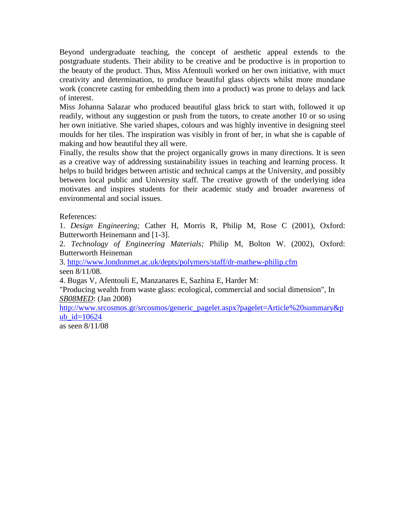Beyond undergraduate teaching, the concept of aesthetic appeal extends to the postgraduate students. Their ability to be creative and be productive is in proportion to the beauty of the product. Thus, Miss Afentouli worked on her own initiative, with muct creativity and determination, to produce beautiful glass objects whilst more mundane work (concrete casting for embedding them into a product) was prone to delays and lack of interest.

Miss Johanna Salazar who produced beautiful glass brick to start with, followed it up readily, without any suggestion or push from the tutors, to create another 10 or so using her own initiative. She varied shapes, colours and was highly inventive in designing steel moulds for her tiles. The inspiration was visibly in front of her, in what she is capable of making and how beautiful they all were.

Finally, the results show that the project organically grows in many directions. It is seen as a creative way of addressing sustainability issues in teaching and learning process. It helps to build bridges between artistic and technical camps at the University, and possibly between local public and University staff. The creative growth of the underlying idea motivates and inspires students for their academic study and broader awareness of environmental and social issues.

References:

1. *Design Engineering;* Cather H, Morris R, Philip M, Rose C (2001), Oxford: Butterworth Heinemann and [1-3].

2. *Technology of Engineering Materials;* Philip M, Bolton W. (2002), Oxford: Butterworth Heineman

3. http://www.londonmet.ac.uk/depts/polymers/staff/dr-mathew-philip.cfm seen 8/11/08.

4. Bugas V, Afentouli E, Manzanares E, Sazhina E, Harder M:

"Producing wealth from waste glass: ecological, commercial and social dimension", In *SB08MED*: (Jan 2008)

http://www.srcosmos.gr/srcosmos/generic\_pagelet.aspx?pagelet=Article%20summary&p ub  $id=10624$ 

as seen 8/11/08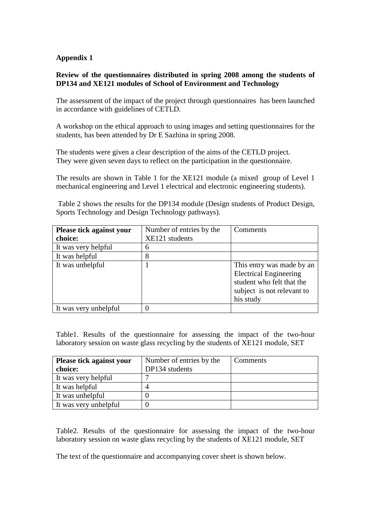# **Appendix 1**

# **Review of the questionnaires distributed in spring 2008 among the students of DP134 and XE121 modules of School of Environment and Technology**

The assessment of the impact of the project through questionnaires has been launched in accordance with guidelines of CETLD.

A workshop on the ethical approach to using images and setting questionnaires for the students, has been attended by Dr E Sazhina in spring 2008.

The students were given a clear description of the aims of the CETLD project. They were given seven days to reflect on the participation in the questionnaire.

The results are shown in Table 1 for the XE121 module (a mixed group of Level 1 mechanical engineering and Level 1 electrical and electronic engineering students).

Table 2 shows the results for the DP134 module (Design students of Product Design, Sports Technology and Design Technology pathways).

| Please tick against your | Number of entries by the | Comments                                                                                                                           |
|--------------------------|--------------------------|------------------------------------------------------------------------------------------------------------------------------------|
| choice:                  | XE121 students           |                                                                                                                                    |
| It was very helpful      | 6                        |                                                                                                                                    |
| It was helpful           | 8                        |                                                                                                                                    |
| It was unhelpful         |                          | This entry was made by an<br><b>Electrical Engineering</b><br>student who felt that the<br>subject is not relevant to<br>his study |
| It was very unhelpful    |                          |                                                                                                                                    |

Table1. Results of the questionnaire for assessing the impact of the two-hour laboratory session on waste glass recycling by the students of XE121 module, SET

| <b>Please tick against your</b> | Number of entries by the | Comments |
|---------------------------------|--------------------------|----------|
| choice:                         | DP134 students           |          |
| It was very helpful             |                          |          |
| It was helpful                  |                          |          |
| It was unhelpful                |                          |          |
| It was very unhelpful           |                          |          |

Table2. Results of the questionnaire for assessing the impact of the two-hour laboratory session on waste glass recycling by the students of XE121 module, SET

The text of the questionnaire and accompanying cover sheet is shown below.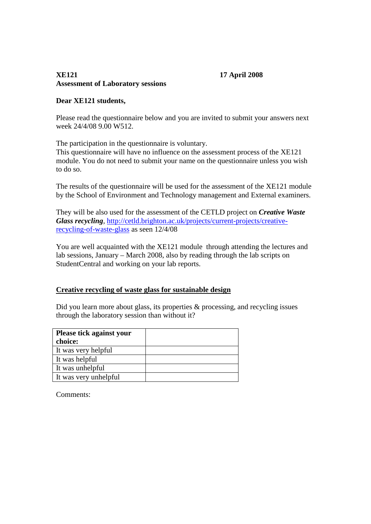# **XE121 17 April 2008 Assessment of Laboratory sessions**

# **Dear XE121 students,**

Please read the questionnaire below and you are invited to submit your answers next week 24/4/08 9.00 W512.

The participation in the questionnaire is voluntary.

This questionnaire will have no influence on the assessment process of the XE121 module. You do not need to submit your name on the questionnaire unless you wish to do so.

The results of the questionnaire will be used for the assessment of the XE121 module by the School of Environment and Technology management and External examiners.

They will be also used for the assessment of the CETLD project on *Creative Waste Glass recycling*, http://cetld.brighton.ac.uk/projects/current-projects/creativerecycling-of-waste-glass as seen 12/4/08

You are well acquainted with the XE121 module through attending the lectures and lab sessions, January – March 2008, also by reading through the lab scripts on StudentCentral and working on your lab reports.

# **Creative recycling of waste glass for sustainable design**

Did you learn more about glass, its properties  $\&$  processing, and recycling issues through the laboratory session than without it?

| <b>Please tick against your</b> |  |
|---------------------------------|--|
| choice:                         |  |
| It was very helpful             |  |
| It was helpful                  |  |
| It was unhelpful                |  |
| It was very unhelpful           |  |

Comments: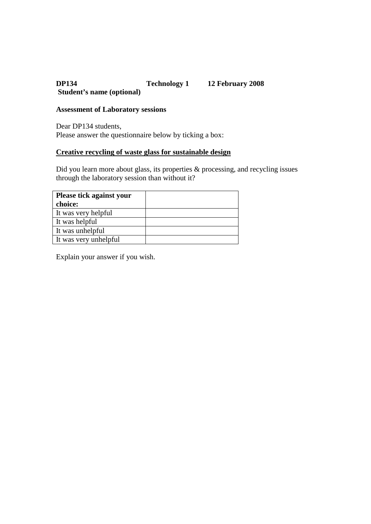# **DP134 Technology 1 12 February 2008 Student's name (optional)**

# **Assessment of Laboratory sessions**

Dear DP134 students, Please answer the questionnaire below by ticking a box:

# **Creative recycling of waste glass for sustainable design**

Did you learn more about glass, its properties & processing, and recycling issues through the laboratory session than without it?

| <b>Please tick against your</b> |  |
|---------------------------------|--|
| choice:                         |  |
| It was very helpful             |  |
| It was helpful                  |  |
| It was unhelpful                |  |
| It was very unhelpful           |  |

Explain your answer if you wish.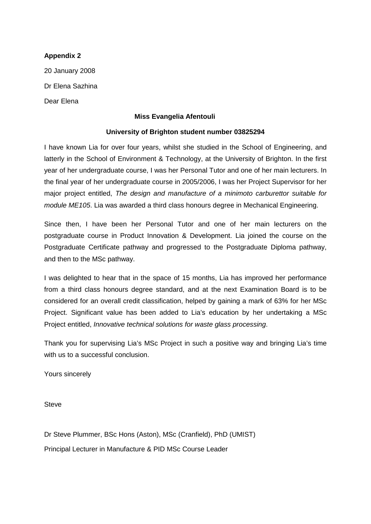# **Appendix 2**

20 January 2008 Dr Elena Sazhina Dear Elena

# **Miss Evangelia Afentouli**

# **University of Brighton student number 03825294**

I have known Lia for over four years, whilst she studied in the School of Engineering, and latterly in the School of Environment & Technology, at the University of Brighton. In the first year of her undergraduate course, I was her Personal Tutor and one of her main lecturers. In the final year of her undergraduate course in 2005/2006, I was her Project Supervisor for her major project entitled, *The design and manufacture of a minimoto carburettor suitable for module ME105*. Lia was awarded a third class honours degree in Mechanical Engineering.

Since then, I have been her Personal Tutor and one of her main lecturers on the postgraduate course in Product Innovation & Development. Lia joined the course on the Postgraduate Certificate pathway and progressed to the Postgraduate Diploma pathway, and then to the MSc pathway.

I was delighted to hear that in the space of 15 months, Lia has improved her performance from a third class honours degree standard, and at the next Examination Board is to be considered for an overall credit classification, helped by gaining a mark of 63% for her MSc Project. Significant value has been added to Lia's education by her undertaking a MSc Project entitled, *Innovative technical solutions for waste glass processing*.

Thank you for supervising Lia's MSc Project in such a positive way and bringing Lia's time with us to a successful conclusion.

Yours sincerely

**Steve** 

Dr Steve Plummer, BSc Hons (Aston), MSc (Cranfield), PhD (UMIST)

Principal Lecturer in Manufacture & PID MSc Course Leader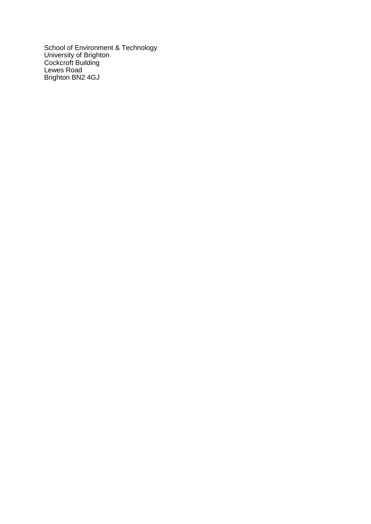School of Environment & Technology University of Brighton Cockcroft Building Lewes Road Brighton BN2 4GJ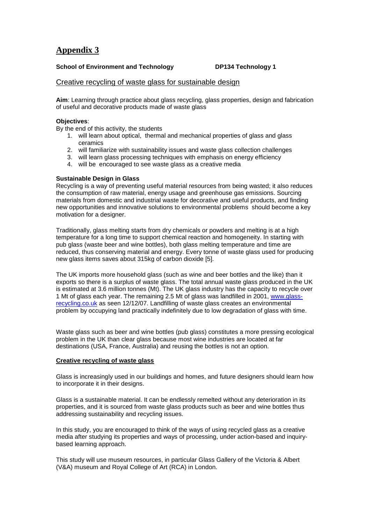# **Appendix 3**

### **School of Environment and Technology DP134 Technology 1**

### Creative recycling of waste glass for sustainable design

**Aim**: Learning through practice about glass recycling, glass properties, design and fabrication of useful and decorative products made of waste glass

#### **Objectives**:

By the end of this activity, the students

- 1. will learn about optical, thermal and mechanical properties of glass and glass ceramics
- 2. will familiarize with sustainability issues and waste glass collection challenges
- 3. will learn glass processing techniques with emphasis on energy efficiency
- 4. will be encouraged to see waste glass as a creative media

#### **Sustainable Design in Glass**

Recycling is a way of preventing useful material resources from being wasted; it also reduces the consumption of raw material, energy usage and greenhouse gas emissions. Sourcing materials from domestic and industrial waste for decorative and useful products, and finding new opportunities and innovative solutions to environmental problems should become a key motivation for a designer.

Traditionally, glass melting starts from dry chemicals or powders and melting is at a high temperature for a long time to support chemical reaction and homogeneity. In starting with pub glass (waste beer and wine bottles), both glass melting temperature and time are reduced, thus conserving material and energy. Every tonne of waste glass used for producing new glass items saves about 315kg of carbon dioxide [5].

The UK imports more household glass (such as wine and beer bottles and the like) than it exports so there is a surplus of waste glass. The total annual waste glass produced in the UK is estimated at 3.6 million tonnes (Mt). The UK glass industry has the capacity to recycle over 1 Mt of glass each year. The remaining 2.5 Mt of glass was landfilled in 2001, www.glassrecycling.co.uk as seen 12/12/07. Landfilling of waste glass creates an environmental problem by occupying land practically indefinitely due to low degradation of glass with time.

Waste glass such as beer and wine bottles (pub glass) constitutes a more pressing ecological problem in the UK than clear glass because most wine industries are located at far destinations (USA, France, Australia) and reusing the bottles is not an option.

#### **Creative recycling of waste glass**

Glass is increasingly used in our buildings and homes, and future designers should learn how to incorporate it in their designs.

Glass is a sustainable material. It can be endlessly remelted without any deterioration in its properties, and it is sourced from waste glass products such as beer and wine bottles thus addressing sustainability and recycling issues.

In this study, you are encouraged to think of the ways of using recycled glass as a creative media after studying its properties and ways of processing, under action-based and inquirybased learning approach.

This study will use museum resources, in particular Glass Gallery of the Victoria & Albert (V&A) museum and Royal College of Art (RCA) in London.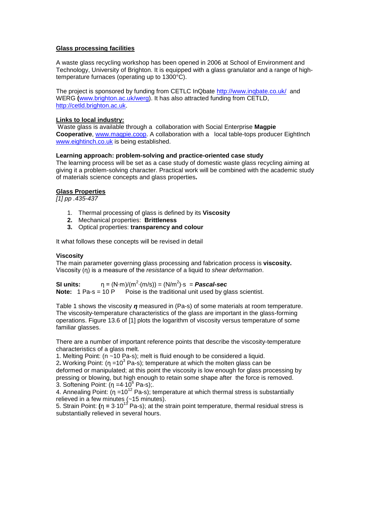#### **Glass processing facilities**

A waste glass recycling workshop has been opened in 2006 at School of Environment and Technology, University of Brighton. It is equipped with a glass granulator and a range of hightemperature furnaces (operating up to 1300°C).

The project is sponsored by funding from CETLC InQbate http://www.inqbate.co.uk/ and WERG **(**www.brighton.ac.uk/werg). It has also attracted funding from CETLD, http://cetld.brighton.ac.uk.

#### **Links to local industry:**

Waste glass is available through a collaboration with Social Enterprise **Magpie Cooperative**, www.magpie.coop. A collaboration with a local table-tops producer EightInch www.eightinch.co.uk is being established.

#### **Learning approach: problem-solving and practice-oriented case study**

The learning process will be set as a case study of domestic waste glass recycling aiming at giving it a problem-solving character. Practical work will be combined with the academic study of materials science concepts and glass properties**.** 

#### **Glass Properties**

*[1] pp .435-437*

- 1. Thermal processing of glass is defined by its **Viscosity**
- **2.** Mechanical properties: **Brittleness**
- **3.** Optical properties: **transparency and colour**

It what follows these concepts will be revised in detail

#### **Viscosity**

The main parameter governing glass processing and fabrication process is **viscosity.** Viscosity (η) is a measure of the *resistance* of a liquid to *shear deformation*.

**SI units:**  $n = (N \cdot m)/(m^2 \cdot (m/s)) = (N/m^2) \cdot s = \text{Pascal-sec}$ **Note:** 1 Pa-s = 10 P Poise is the traditional unit used by glass scientist.

Table 1 shows the viscosity *η* measured in (Pa-s) of some materials at room temperature. The viscosity-temperature characteristics of the glass are important in the glass-forming operations. Figure 13.6 of [1] plots the logarithm of viscosity versus temperature of some familiar glasses.

There are a number of important reference points that describe the viscosity-temperature characteristics of a glass melt.

1. Melting Point: (n ~10 Pa-s); melt is fluid enough to be considered a liquid.

2**.** Working Point: (η =10<sup>3</sup> Pa-s); temperature at which the molten glass can be deformed or manipulated; at this point the viscosity is low enough for glass processing by pressing or blowing, but high enough to retain some shape after the force is removed. 3. Softening Point:  $(n = 4.10^6 \text{ Pa-s})$ ;

4. Annealing Point:  $(\eta = 10^{12} \text{ Pa-s})$ ; temperature at which thermal stress is substantially relieved in a few minutes (~15 minutes).

5. Strain Point: **(**η **=** 3·1013 Pa-s); at the strain point temperature, thermal residual stress is substantially relieved in several hours.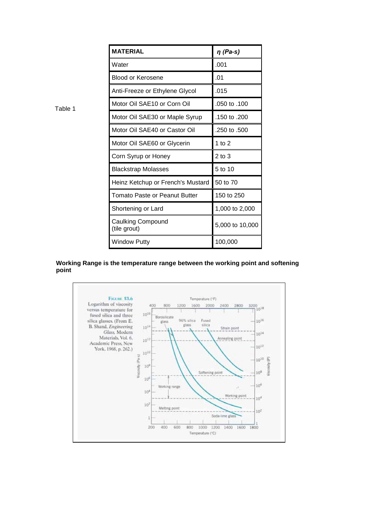| <b>MATERIAL</b>                          | $\eta$ (Pa-s)   |
|------------------------------------------|-----------------|
| Water                                    | .001            |
| <b>Blood or Kerosene</b>                 | .01             |
| Anti-Freeze or Ethylene Glycol           | .015            |
| Motor Oil SAE10 or Corn Oil              | .050 to .100    |
| Motor Oil SAE30 or Maple Syrup           | .150 to .200    |
| Motor Oil SAE40 or Castor Oil            | .250 to .500    |
| Motor Oil SAE60 or Glycerin              | 1 to $2$        |
| Corn Syrup or Honey                      | 2 to 3          |
| <b>Blackstrap Molasses</b>               | 5 to 10         |
| Heinz Ketchup or French's Mustard        | 50 to 70        |
| <b>Tomato Paste or Peanut Butter</b>     | 150 to 250      |
| Shortening or Lard                       | 1,000 to 2,000  |
| <b>Caulking Compound</b><br>(tile grout) | 5,000 to 10,000 |
| <b>Window Putty</b>                      | 100,000         |

# **Working Range is the temperature range between the working point and softening point**



Table 1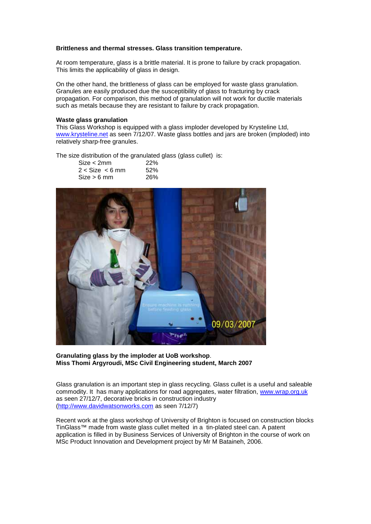#### **Brittleness and thermal stresses. Glass transition temperature.**

At room temperature, glass is a brittle material. It is prone to failure by crack propagation. This limits the applicability of glass in design.

On the other hand, the brittleness of glass can be employed for waste glass granulation. Granules are easily produced due the susceptibility of glass to fracturing by crack propagation. For comparison, this method of granulation will not work for ductile materials such as metals because they are resistant to failure by crack propagation.

#### **Waste glass granulation**

This Glass Workshop is equipped with a glass imploder developed by Krysteline Ltd, www.krysteline.net as seen 7/12/07. Waste glass bottles and jars are broken (imploded) into relatively sharp-free granules.

The size distribution of the granulated glass (glass cullet) is:

| Size < 2mm          | 22% |
|---------------------|-----|
| $2 <$ Size $<$ 6 mm | 52% |
| $Size > 6$ mm       | 26% |



#### **Granulating glass by the imploder at UoB workshop**. **Miss Thomi Argyroudi, MSc Civil Engineering student, March 2007**

Glass granulation is an important step in glass recycling. Glass cullet is a useful and saleable commodity. It has many applications for road aggregates, water filtration, www.wrap.org.uk as seen 27/12/7, decorative bricks in construction industry (http://www.davidwatsonworks.com as seen 7/12/7)

Recent work at the glass workshop of University of Brighton is focused on construction blocks TinGlass™ made from waste glass cullet melted in a tin-plated steel can. A patent application is filled in by Business Services of University of Brighton in the course of work on MSc Product Innovation and Development project by Mr M Bataineh, 2006.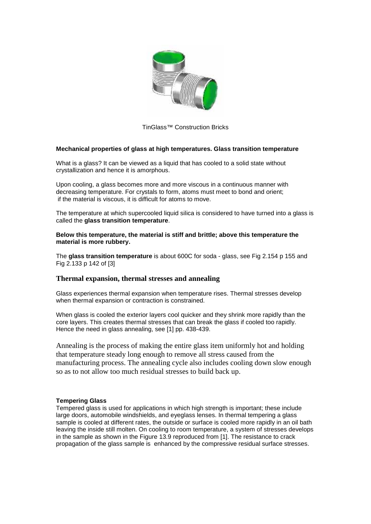

TinGlass™ Construction Bricks

### **Mechanical properties of glass at high temperatures. Glass transition temperature**

What is a glass? It can be viewed as a liquid that has cooled to a solid state without crystallization and hence it is amorphous.

Upon cooling, a glass becomes more and more viscous in a continuous manner with decreasing temperature. For crystals to form, atoms must meet to bond and orient; if the material is viscous, it is difficult for atoms to move.

The temperature at which supercooled liquid silica is considered to have turned into a glass is called the **glass transition temperature**.

**Below this temperature, the material is stiff and brittle; above this temperature the material is more rubbery.**

The **glass transition temperature** is about 600C for soda - glass, see Fig 2.154 p 155 and Fig 2.133 p 142 of [3]

### **Thermal expansion, thermal stresses and annealing**

Glass experiences thermal expansion when temperature rises. Thermal stresses develop when thermal expansion or contraction is constrained.

When glass is cooled the exterior layers cool quicker and they shrink more rapidly than the core layers. This creates thermal stresses that can break the glass if cooled too rapidly. Hence the need in glass annealing, see [1] pp. 438-439.

Annealing is the process of making the entire glass item uniformly hot and holding that temperature steady long enough to remove all stress caused from the manufacturing process. The annealing cycle also includes cooling down slow enough so as to not allow too much residual stresses to build back up.

#### **Tempering Glass**

Tempered glass is used for applications in which high strength is important; these include large doors, automobile windshields, and eyeglass lenses. In thermal tempering a glass sample is cooled at different rates, the outside or surface is cooled more rapidly in an oil bath leaving the inside still molten. On cooling to room temperature, a system of stresses develops in the sample as shown in the Figure 13.9 reproduced from [1]. The resistance to crack propagation of the glass sample is enhanced by the compressive residual surface stresses.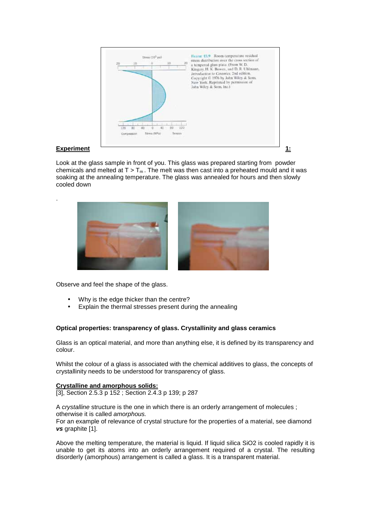

.

Look at the glass sample in front of you. This glass was prepared starting from powder chemicals and melted at  $T > T_m$ . The melt was then cast into a preheated mould and it was soaking at the annealing temperature. The glass was annealed for hours and then slowly cooled down



Observe and feel the shape of the glass.

- Why is the edge thicker than the centre?
- Explain the thermal stresses present during the annealing

### **Optical properties: transparency of glass. Crystallinity and glass ceramics**

Glass is an optical material, and more than anything else, it is defined by its transparency and colour.

Whilst the colour of a glass is associated with the chemical additives to glass, the concepts of crystallinity needs to be understood for transparency of glass.

#### **Crystalline and amorphous solids:**

[3], Section 2.5.3 p 152 ; Section 2.4.3 p 139; p 287

A *crystalline* structure is the one in which there is an orderly arrangement of molecules ; otherwise it is called *amorphous.* 

For an example of relevance of crystal structure for the properties of a material, see diamond *vs* graphite [1].

Above the melting temperature, the material is liquid. If liquid silica SiO2 is cooled rapidly it is unable to get its atoms into an orderly arrangement required of a crystal. The resulting disorderly (amorphous) arrangement is called a glass. It is a transparent material.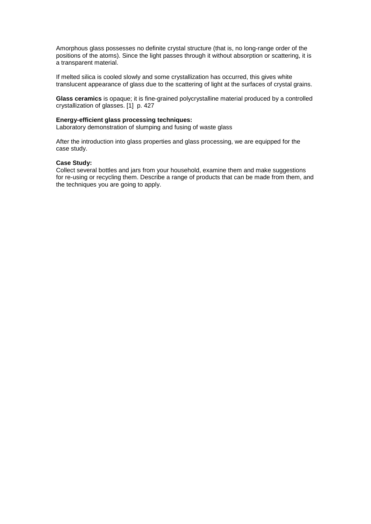Amorphous glass possesses no definite crystal structure (that is, no long-range order of the positions of the atoms). Since the light passes through it without absorption or scattering, it is a transparent material.

If melted silica is cooled slowly and some crystallization has occurred, this gives white translucent appearance of glass due to the scattering of light at the surfaces of crystal grains.

**Glass ceramics** is opaque; it is fine-grained polycrystalline material produced by a controlled crystallization of glasses. [1] p. 427

#### **Energy-efficient glass processing techniques:**

Laboratory demonstration of slumping and fusing of waste glass

After the introduction into glass properties and glass processing, we are equipped for the case study.

#### **Case Study:**

Collect several bottles and jars from your household, examine them and make suggestions for re-using or recycling them. Describe a range of products that can be made from them, and the techniques you are going to apply.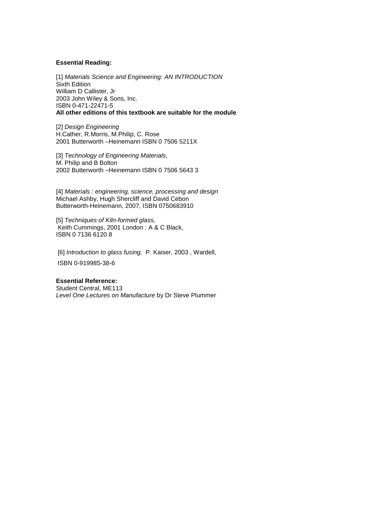#### **Essential Reading:**

[1] *Materials Science and Engineering: AN INTRODUCTION* Sixth Edition William D Callister, Jr 2003 John Wiley & Sons, Inc. ISBN 0-471-22471-5 **All other editions of this textbook are suitable for the module**

[2] *Design Engineering* H.Cather, R.Morris, M.Philip, C. Rose 2001 Butterworth –Heinemann ISBN 0 7506 5211X

[3] *Technology of Engineering Materials*, M. Philip and B Bolton 2002 Butterworth –Heinemann ISBN 0 7506 5643 3

[4] *Materials : engineering, science, processing and design* Michael Ashby, Hugh Shercliff and David Cebon Butterworth-Heinemann, 2007, ISBN 0750683910

[5] *Techniques of Kiln-formed glass,* Keith Cummings, 2001 London : A & C Black, ISBN 0 7136 6120 8

[6] *Introduction to glass fusing,* P. Kaiser, 2003 , Wardell, ISBN 0-919985-38-6

#### **Essential Reference:**

Student Central, ME113 *Level One Lectures on Manufacture* by Dr Steve Plummer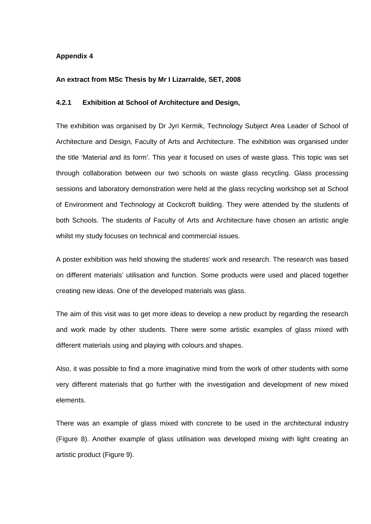### **Appendix 4**

#### **An extract from MSc Thesis by Mr I Lizarralde, SET, 2008**

# **4.2.1 Exhibition at School of Architecture and Design,**

The exhibition was organised by Dr Jyri Kermik, Technology Subject Area Leader of School of Architecture and Design, Faculty of Arts and Architecture. The exhibition was organised under the title 'Material and its form'. This year it focused on uses of waste glass. This topic was set through collaboration between our two schools on waste glass recycling. Glass processing sessions and laboratory demonstration were held at the glass recycling workshop set at School of Environment and Technology at Cockcroft building. They were attended by the students of both Schools. The students of Faculty of Arts and Architecture have chosen an artistic angle whilst my study focuses on technical and commercial issues.

A poster exhibition was held showing the students' work and research. The research was based on different materials' utilisation and function. Some products were used and placed together creating new ideas. One of the developed materials was glass.

The aim of this visit was to get more ideas to develop a new product by regarding the research and work made by other students. There were some artistic examples of glass mixed with different materials using and playing with colours and shapes.

Also, it was possible to find a more imaginative mind from the work of other students with some very different materials that go further with the investigation and development of new mixed elements.

There was an example of glass mixed with concrete to be used in the architectural industry (Figure 8). Another example of glass utilisation was developed mixing with light creating an artistic product (Figure 9).